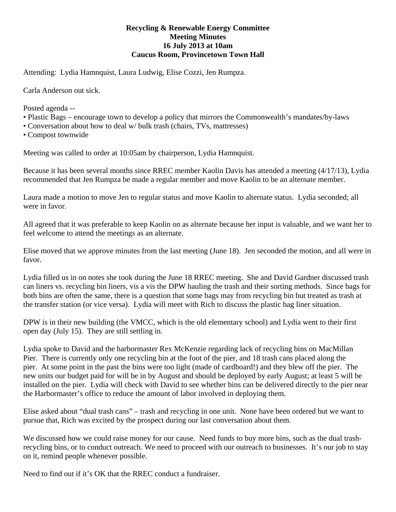## **Recycling & Renewable Energy Committee Meeting Minutes 16 July 2013 at 10am Caucus Room, Provincetown Town Hall**

Attending: Lydia Hamnquist, Laura Ludwig, Elise Cozzi, Jen Rumpza.

Carla Anderson out sick.

Posted agenda --

- Plastic Bags encourage town to develop a policy that mirrors the Commonwealth's mandates/by-laws
- Conversation about how to deal w/ bulk trash (chairs, TVs, mattresses)
- Compost townwide

Meeting was called to order at 10:05am by chairperson, Lydia Hamnquist.

Because it has been several months since RREC member Kaolin Davis has attended a meeting (4/17/13), Lydia recommended that Jen Rumpza be made a regular member and move Kaolin to be an alternate member.

Laura made a motion to move Jen to regular status and move Kaolin to alternate status. Lydia seconded; all were in favor.

All agreed that it was preferable to keep Kaolin on as alternate because her input is valuable, and we want her to feel welcome to attend the meetings as an alternate.

Elise moved that we approve minutes from the last meeting (June 18). Jen seconded the motion, and all were in favor.

Lydia filled us in on notes she took during the June 18 RREC meeting. She and David Gardner discussed trash can liners vs. recycling bin liners, vis a vis the DPW hauling the trash and their sorting methods. Since bags for both bins are often the same, there is a question that some bags may from recycling bin but treated as trash at the transfer station (or vice versa). Lydia will meet with Rich to discuss the plastic bag liner situation.

DPW is in their new building (the VMCC, which is the old elementary school) and Lydia went to their first open day (July 15). They are still settling in.

Lydia spoke to David and the harbormaster Rex McKenzie regarding lack of recycling bins on MacMillan Pier. There is currently only one recycling bin at the foot of the pier, and 18 trash cans placed along the pier. At some point in the past the bins were too light (made of cardboard!) and they blew off the pier. The new units our budget paid for will be in by August and should be deployed by early August; at least 5 will be installed on the pier. Lydia will check with David to see whether bins can be delivered directly to the pier near the Harbormaster's office to reduce the amount of labor involved in deploying them.

Elise asked about "dual trash cans" – trash and recycling in one unit. None have been ordered but we want to pursue that, Rich was excited by the prospect during our last conversation about them.

We discussed how we could raise money for our cause. Need funds to buy more bins, such as the dual trashrecycling bins, or to conduct outreach. We need to proceed with our outreach to businesses. It's our job to stay on it, remind people whenever possible.

Need to find out if it's OK that the RREC conduct a fundraiser.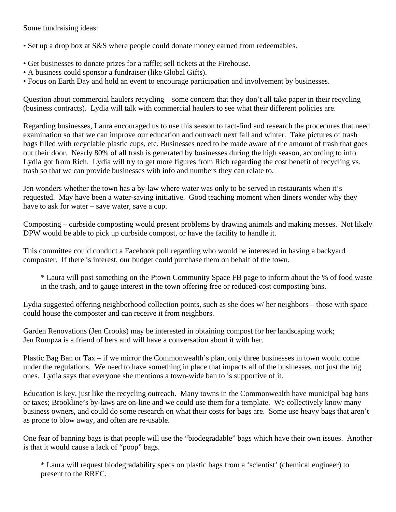Some fundraising ideas:

• Set up a drop box at S&S where people could donate money earned from redeemables.

- Get businesses to donate prizes for a raffle; sell tickets at the Firehouse.
- A business could sponsor a fundraiser (like Global Gifts).
- Focus on Earth Day and hold an event to encourage participation and involvement by businesses.

Question about commercial haulers recycling – some concern that they don't all take paper in their recycling (business contracts). Lydia will talk with commercial haulers to see what their different policies are.

Regarding businesses, Laura encouraged us to use this season to fact-find and research the procedures that need examination so that we can improve our education and outreach next fall and winter. Take pictures of trash bags filled with recyclable plastic cups, etc. Businesses need to be made aware of the amount of trash that goes out their door. Nearly 80% of all trash is generated by businesses during the high season, according to info Lydia got from Rich. Lydia will try to get more figures from Rich regarding the cost benefit of recycling vs. trash so that we can provide businesses with info and numbers they can relate to.

Jen wonders whether the town has a by-law where water was only to be served in restaurants when it's requested. May have been a water-saving initiative. Good teaching moment when diners wonder why they have to ask for water – save water, save a cup.

Composting – curbside composting would present problems by drawing animals and making messes. Not likely DPW would be able to pick up curbside compost, or have the facility to handle it.

This committee could conduct a Facebook poll regarding who would be interested in having a backyard composter. If there is interest, our budget could purchase them on behalf of the town.

\* Laura will post something on the Ptown Community Space FB page to inform about the % of food waste in the trash, and to gauge interest in the town offering free or reduced-cost composting bins.

Lydia suggested offering neighborhood collection points, such as she does w/ her neighbors – those with space could house the composter and can receive it from neighbors.

Garden Renovations (Jen Crooks) may be interested in obtaining compost for her landscaping work; Jen Rumpza is a friend of hers and will have a conversation about it with her.

Plastic Bag Ban or Tax – if we mirror the Commonwealth's plan, only three businesses in town would come under the regulations. We need to have something in place that impacts all of the businesses, not just the big ones. Lydia says that everyone she mentions a town-wide ban to is supportive of it.

Education is key, just like the recycling outreach. Many towns in the Commonwealth have municipal bag bans or taxes; Brookline's by-laws are on-line and we could use them for a template. We collectively know many business owners, and could do some research on what their costs for bags are. Some use heavy bags that aren't as prone to blow away, and often are re-usable.

One fear of banning bags is that people will use the "biodegradable" bags which have their own issues. Another is that it would cause a lack of "poop" bags.

\* Laura will request biodegradability specs on plastic bags from a 'scientist' (chemical engineer) to present to the RREC.